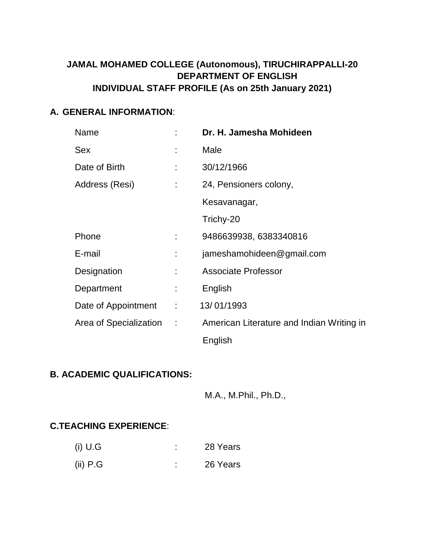# **JAMAL MOHAMED COLLEGE (Autonomous), TIRUCHIRAPPALLI-20 DEPARTMENT OF ENGLISH INDIVIDUAL STAFF PROFILE (As on 25th January 2021)**

#### **A. GENERAL INFORMATION**:

| Name                     |                      | Dr. H. Jamesha Mohideen                   |
|--------------------------|----------------------|-------------------------------------------|
| <b>Sex</b>               |                      | Male                                      |
| Date of Birth            |                      | 30/12/1966                                |
| Address (Resi)           |                      | 24, Pensioners colony,                    |
|                          |                      | Kesavanagar,                              |
|                          |                      | Trichy-20                                 |
| Phone                    |                      | 9486639938, 6383340816                    |
| E-mail                   |                      | jameshamohideen@gmail.com                 |
| Designation              |                      | <b>Associate Professor</b>                |
| Department               |                      | English                                   |
| Date of Appointment      | $\ddot{\phantom{a}}$ | 13/01/1993                                |
| Area of Specialization : |                      | American Literature and Indian Writing in |
|                          |                      | English                                   |

## **B. ACADEMIC QUALIFICATIONS:**

M.A., M.Phil., Ph.D.,

## **C.TEACHING EXPERIENCE**:

| $(i)$ U.G  | ٠ | 28 Years |
|------------|---|----------|
| $(ii)$ P.G |   | 26 Years |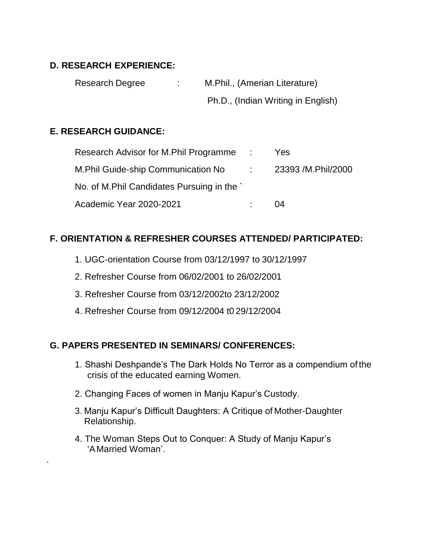# **D. RESEARCH EXPERIENCE:**

Research Degree : M.Phil., (Amerian Literature) Ph.D., (Indian Writing in English)

## **E. RESEARCH GUIDANCE:**

.

| Research Advisor for M.Phil Programme :                 | <b>Yes</b> |
|---------------------------------------------------------|------------|
| M. Phil Guide-ship Communication No 23393 /M. Phil/2000 |            |
| No. of M.Phil Candidates Pursuing in the                |            |
| Academic Year 2020-2021                                 | 04         |

## **F. ORIENTATION & REFRESHER COURSES ATTENDED/ PARTICIPATED:**

- 1. UGC-orientation Course from 03/12/1997 to 30/12/1997
- 2. Refresher Course from 06/02/2001 to 26/02/2001
- 3. Refresher Course from 03/12/2002to 23/12/2002
- 4. Refresher Course from 09/12/2004 t0 29/12/2004

## **G. PAPERS PRESENTED IN SEMINARS/ CONFERENCES:**

- 1. Shashi Deshpande's The Dark Holds No Terror as a compendium of the crisis of the educated earning Women.
- 2. Changing Faces of women in Manju Kapur's Custody.
- 3. Manju Kapur's Difficult Daughters: A Critique of Mother-Daughter Relationship.
- 4. The Woman Steps Out to Conquer: A Study of Manju Kapur's 'AMarried Woman'.